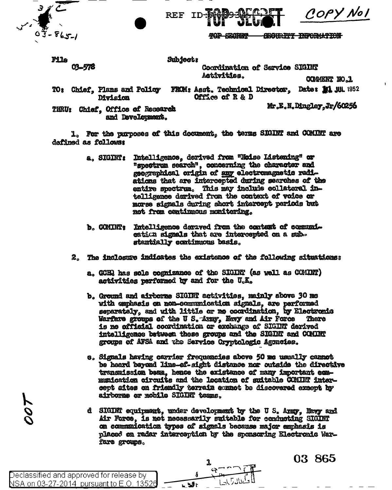REF ID

COPY Nol

**TOP SECONDER NOTTANOWE TWORK** 

File 03-578 Subject:

Coordination of Sarvice SIGINT Activities.

COMMENT NO.1

- TO: Chief, Plans and Policy FROM: Asst. Technical Director, Date: 11 JUL 1952 Office of R & D Division
- THRU: Chief, Office of Research and Development.

Mr.E.N.Dingley.Jr/60256

1. For the purposes of this document, the terms SIGINT and COMINT are defined as follows:

- Intelligence, derived from "Noise Listening" or a. SIGINT: "spectrum search", concerning the character and geographical origin of any electromagnetic radiations that are intercepted during searches of the entire spectrum. This may include collateral intelligence derived from the context of voice or morse signals during short intercept periods but not from continuous monitoring.
- b. COMINT: Intelligence derived from the context of communication signals that are intercepted on a substentially continuous basis.
- 2. The inclosure indicates the existence of the following situations:
	- a. GCHR has sole cognizance of the SIGINT (as well as CCMINT) activities performed by and for the U.K.
	- b. Ground and airborne SIGINT activities, mainly above 30 ms with emphasis on non-communication signals, are performed separately, and with little or no coordination, by Electronic Warfare groups of the U S. Army, Navy and Air Force There is no official coordination or exchange of SIGINT derived intelligence between these groups and the SIGINT and COMINT groups of AFSA and the Sarvice Cryptologic Agoncies.
	- e. Signals having carrier frequencies above 50 me usually cannot be heard beyond line-of-sight distance nor outside the directive transmission been, hence the existence of many important commanication circuits and the location of suitable COMINT intercept aites on friendly terrain connot be discovered expept by airborne or mobile SIGINT tesms.
	- d SIGINT equipment, under development by the U S. Army. Nevy and Air Force, is not necessarily suitable for conducting SIGINT on communication types of signals because major emphasis is placed on radar interception by the sponsoring Electronic Warfare groups.

Declassified and approved for release by <u>NSA on 03-27-2014 pursuant to E.O. 13526</u>

**707** 



03 865